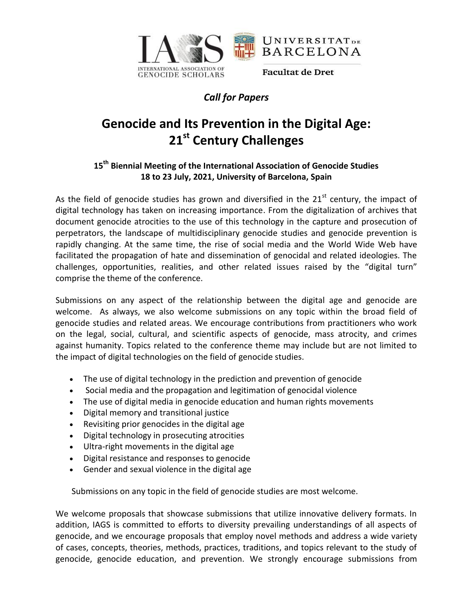

## *Call for Papers*

## **Genocide and Its Prevention in the Digital Age: 21st Century Challenges**

## **15th Biennial Meeting of the International Association of Genocide Studies 18 to 23 July, 2021, University of Barcelona, Spain**

As the field of genocide studies has grown and diversified in the  $21<sup>st</sup>$  century, the impact of digital technology has taken on increasing importance. From the digitalization of archives that document genocide atrocities to the use of this technology in the capture and prosecution of perpetrators, the landscape of multidisciplinary genocide studies and genocide prevention is rapidly changing. At the same time, the rise of social media and the World Wide Web have facilitated the propagation of hate and dissemination of genocidal and related ideologies. The challenges, opportunities, realities, and other related issues raised by the "digital turn" comprise the theme of the conference.

Submissions on any aspect of the relationship between the digital age and genocide are welcome. As always, we also welcome submissions on any topic within the broad field of genocide studies and related areas. We encourage contributions from practitioners who work on the legal, social, cultural, and scientific aspects of genocide, mass atrocity, and crimes against humanity. Topics related to the conference theme may include but are not limited to the impact of digital technologies on the field of genocide studies.

- The use of digital technology in the prediction and prevention of genocide
- Social media and the propagation and legitimation of genocidal violence
- The use of digital media in genocide education and human rights movements
- Digital memory and transitional justice
- Revisiting prior genocides in the digital age
- Digital technology in prosecuting atrocities
- Ultra-right movements in the digital age
- Digital resistance and responses to genocide
- Gender and sexual violence in the digital age

Submissions on any topic in the field of genocide studies are most welcome.

We welcome proposals that showcase submissions that utilize innovative delivery formats. In addition, IAGS is committed to efforts to diversity prevailing understandings of all aspects of genocide, and we encourage proposals that employ novel methods and address a wide variety of cases, concepts, theories, methods, practices, traditions, and topics relevant to the study of genocide, genocide education, and prevention. We strongly encourage submissions from